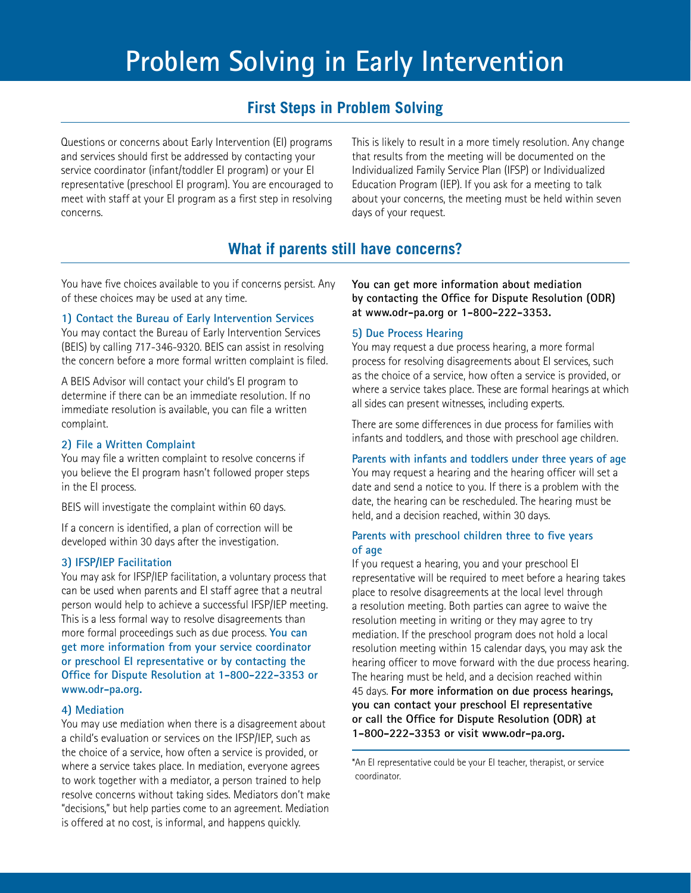# **Problem Solving in Early Intervention**

# **First Steps in Problem Solving**

Questions or concerns about Early Intervention (EI) programs and services should first be addressed by contacting your service coordinator (infant/toddler EI program) or your EI representative (preschool EI program). You are encouraged to meet with staff at your EI program as a first step in resolving concerns.

This is likely to result in a more timely resolution. Any change that results from the meeting will be documented on the Individualized Family Service Plan (IFSP) or Individualized Education Program (IEP). If you ask for a meeting to talk about your concerns, the meeting must be held within seven days of your request.

# **What if parents still have concerns?**

You have five choices available to you if concerns persist. Any of these choices may be used at any time.

## **1) Contact the Bureau of Early Intervention Services**

You may contact the Bureau of Early Intervention Services (BEIS) by calling 717-346-9320. BEIS can assist in resolving the concern before a more formal written complaint is filed.

A BEIS Advisor will contact your child's EI program to determine if there can be an immediate resolution. If no immediate resolution is available, you can file a written complaint.

#### **2) File a Written Complaint**

You may file a written complaint to resolve concerns if you believe the EI program hasn't followed proper steps in the EI process.

BEIS will investigate the complaint within 60 days.

If a concern is identified, a plan of correction will be developed within 30 days after the investigation.

## **3) IFSP/IEP Facilitation**

You may ask for IFSP/IEP facilitation, a voluntary process that can be used when parents and EI staff agree that a neutral person would help to achieve a successful IFSP/IEP meeting. This is a less formal way to resolve disagreements than more formal proceedings such as due process. **You can get more information from your service coordinator or preschool EI representative or by contacting the Office for Dispute Resolution at 1-800-222-3353 or [www.odr-pa.org.](www.odr-pa.org)**

#### **4) Mediation**

You may use mediation when there is a disagreement about a child's evaluation or services on the IFSP/IEP, such as the choice of a service, how often a service is provided, or where a service takes place. In mediation, everyone agrees to work together with a mediator, a person trained to help resolve concerns without taking sides. Mediators don't make "decisions," but help parties come to an agreement. Mediation is offered at no cost, is informal, and happens quickly.

**You can get more information about mediation by contacting the Office for Dispute Resolution (ODR) at <www.odr-pa.org>or 1-800-222-3353.**

## **5) Due Process Hearing**

You may request a due process hearing, a more formal process for resolving disagreements about EI services, such as the choice of a service, how often a service is provided, or where a service takes place. These are formal hearings at which all sides can present witnesses, including experts.

There are some differences in due process for families with infants and toddlers, and those with preschool age children.

#### **Parents with infants and toddlers under three years of age**

You may request a hearing and the hearing officer will set a date and send a notice to you. If there is a problem with the date, the hearing can be rescheduled. The hearing must be held, and a decision reached, within 30 days.

## **Parents with preschool children three to five years of age**

If you request a hearing, you and your preschool EI representative will be required to meet before a hearing takes place to resolve disagreements at the local level through a resolution meeting. Both parties can agree to waive the resolution meeting in writing or they may agree to try mediation. If the preschool program does not hold a local resolution meeting within 15 calendar days, you may ask the hearing officer to move forward with the due process hearing. The hearing must be held, and a decision reached within 45 days. **For more information on due process hearings, you can contact your preschool EI representative or call the Office for Dispute Resolution (ODR) at 1-800-222-3353 or visit [www.odr-pa.org.](www.odr-pa.org)**

\*An EI representative could be your EI teacher, therapist, or service coordinator.